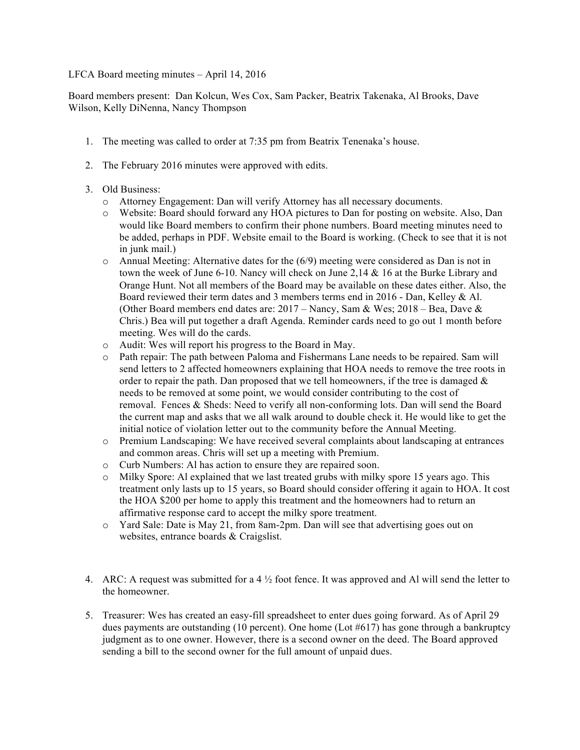## LFCA Board meeting minutes – April 14, 2016

Board members present: Dan Kolcun, Wes Cox, Sam Packer, Beatrix Takenaka, Al Brooks, Dave Wilson, Kelly DiNenna, Nancy Thompson

- 1. The meeting was called to order at 7:35 pm from Beatrix Tenenaka's house.
- 2. The February 2016 minutes were approved with edits.
- 3. Old Business:
	- o Attorney Engagement: Dan will verify Attorney has all necessary documents.
	- o Website: Board should forward any HOA pictures to Dan for posting on website. Also, Dan would like Board members to confirm their phone numbers. Board meeting minutes need to be added, perhaps in PDF. Website email to the Board is working. (Check to see that it is not in junk mail.)
	- o Annual Meeting: Alternative dates for the (6/9) meeting were considered as Dan is not in town the week of June 6-10. Nancy will check on June 2,14  $\&$  16 at the Burke Library and Orange Hunt. Not all members of the Board may be available on these dates either. Also, the Board reviewed their term dates and 3 members terms end in 2016 - Dan, Kelley & Al. (Other Board members end dates are: 2017 – Nancy, Sam & Wes; 2018 – Bea, Dave & Chris.) Bea will put together a draft Agenda. Reminder cards need to go out 1 month before meeting. Wes will do the cards.
	- o Audit: Wes will report his progress to the Board in May.
	- o Path repair: The path between Paloma and Fishermans Lane needs to be repaired. Sam will send letters to 2 affected homeowners explaining that HOA needs to remove the tree roots in order to repair the path. Dan proposed that we tell homeowners, if the tree is damaged  $\&$ needs to be removed at some point, we would consider contributing to the cost of removal. Fences & Sheds: Need to verify all non-conforming lots. Dan will send the Board the current map and asks that we all walk around to double check it. He would like to get the initial notice of violation letter out to the community before the Annual Meeting.
	- o Premium Landscaping: We have received several complaints about landscaping at entrances and common areas. Chris will set up a meeting with Premium.
	- o Curb Numbers: Al has action to ensure they are repaired soon.
	- o Milky Spore: Al explained that we last treated grubs with milky spore 15 years ago. This treatment only lasts up to 15 years, so Board should consider offering it again to HOA. It cost the HOA \$200 per home to apply this treatment and the homeowners had to return an affirmative response card to accept the milky spore treatment.
	- o Yard Sale: Date is May 21, from 8am-2pm. Dan will see that advertising goes out on websites, entrance boards & Craigslist.
- 4. ARC: A request was submitted for a 4  $\frac{1}{2}$  foot fence. It was approved and Al will send the letter to the homeowner.
- 5. Treasurer: Wes has created an easy-fill spreadsheet to enter dues going forward. As of April 29 dues payments are outstanding (10 percent). One home (Lot  $#617$ ) has gone through a bankruptcy judgment as to one owner. However, there is a second owner on the deed. The Board approved sending a bill to the second owner for the full amount of unpaid dues.